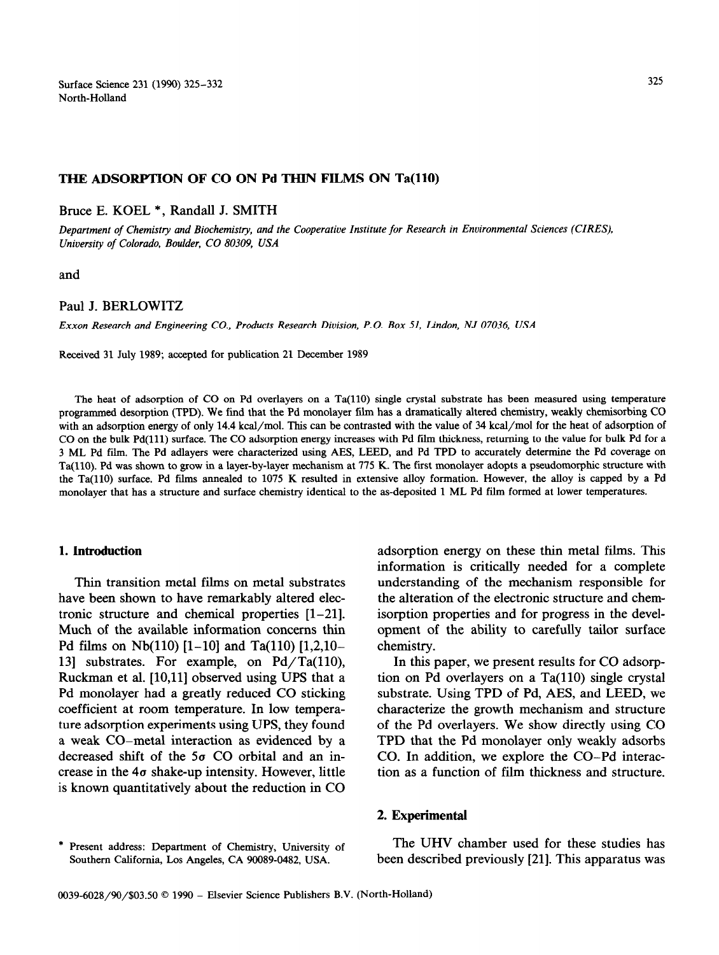## THE ADSORPTION OF CO ON Pd THIN FILMS ON Ta(110)

Bruce E. KOEL \*, Randall J. SMITH

*Department of Chemistry and Biochemistry, and the Cooperative Institute for Research in Environmental Sciences (CIRES), University of Colorado. Boulder, CO 80309, USA* 

and

## Paul J. BERLOWITZ

*Exxon Research and Engineering CO., Products Research Division, P.O. Box 51, Lindon, NJ 07036, USA* 

**Received 31 July 1989; accepted for publication 21 December 1989** 

The heat of adsorption of CO on Pd overlayers on a Ta(110) single crystal substrate has been measured using temperature **programmed desorption (TPD). We find that the Pd monolayer film has a dramatically altered chemistry, weakly chemisorbing CO with an adsorption energy of only 14.4 kcal/mol. This can be contrasted with the value of 34 kcal/mol for the heat of adsorption of CO on the bulk Pd(ll1) surface. The CO adsorption energy increases with Pd film thickness, returning to the value for bulk Pd for a 3 ML Pd film. The Pd adlayers were characterized using AES, LEED, and Pd TPD to accurately determine the Pd coverage on Ta(ll0). Pd was shown to grow in a layer-by-layer mechanism at 775 K. The first monolayer adopts a pseudomorphic structure with the Ta(ll0) surface. Pd films annealed to 1075 K resulted in extensive alloy formation. However, the alloy is capped by a Pd monolayer that has a structure and surface chemistry identical to the as-deposited 1 ML Pd film formed at lower temperatures.** 

## **1. Introduction**

Thin transition metal films on metal substrates have been shown to have remarkably altered electronic structure and chemical properties [l-21]. Much of the available information concerns thin Pd films on Nb(110)  $[1-10]$  and Ta(110)  $[1,2,10-$ 13] substrates. For example, on  $Pd/Ta(110)$ , Ruckman et al. [10,11] observed using UPS that a Pd monolayer had a greatly reduced CO sticking coefficient at room temperature. In low temperature adsorption experiments using UPS, they found a weak CO-metal interaction as evidenced by a decreased shift of the  $5\sigma$  CO orbital and an increase in the  $4\sigma$  shake-up intensity. However, little is known quantitatively about the reduction in CO

Present address: Department of Chemistry, University of **Southern California, Los Angeles, CA 90089-0482, USA.** 

adsorption energy on these thin metal films. This information is critically needed for a complete understanding of the mechanism responsible for the alteration of the electronic structure and chemisorption properties and for progress in the development of the ability to carefully tailor surface chemistry.

In this paper, we present results for CO adsorption on Pd overlayers on a  $Ta(110)$  single crystal substrate. Using TPD of Pd, AES, and LEED, we characterize the growth mechanism and structure of the Pd overlayers. We show directly using CO TPD that the Pd monolayer only weakly adsorbs CO. In addition, we explore the CO-Pd interaction as a function of film thickness and structure.

## 2. **Experimental**

**The** UHV chamber used for these studies has been described previously [21]. This apparatus was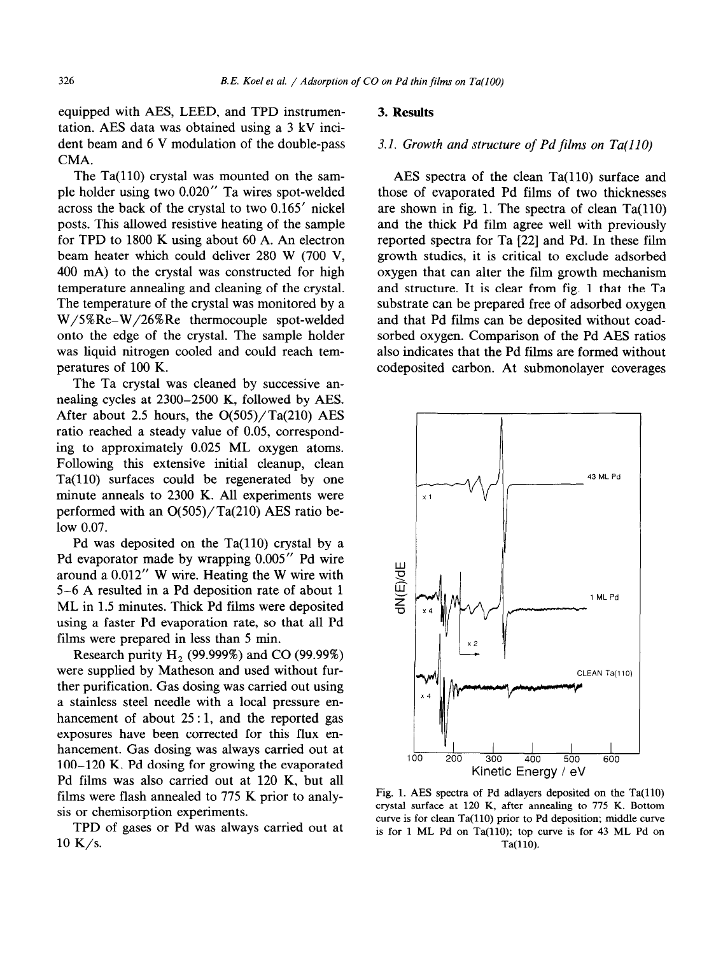equipped with AES, LEED, and TPD instrumentation. AES data was obtained using a 3 kV incident beam and 6 V modulation of the double-pass CMA.

The Ta crystal was cleaned by successive annealing cycles at 2300-2500 K, followed by AES. After about 2.5 hours, the  $O(505)/Ta(210)$  AES ratio reached a steady value of 0.05, corresponding to approximately 0.025 ML oxygen atoms. Following this extensive initial cleanup, clean  $Ta(110)$  surfaces could be regenerated by one minute anneals to 2300 K. All experiments were performed with an 0(505)/Ta(210) AES ratio below 0.07.

Pd was deposited on the  $Ta(110)$  crystal by a Pd evaporator made by wrapping 0.005" Pd wire around a 0.012" W wire. Heating the W wire with 5-6 A resulted in a Pd deposition rate of about 1 ML in 1.5 minutes. Thick Pd films were deposited using a faster Pd evaporation rate, so that all Pd films were prepared in less than 5 min.

Research purity  $H<sub>2</sub>$  (99.999%) and CO (99.99%) were supplied by Matheson and used without further purification. Gas dosing was carried out using a stainless steel needle with a local pressure enhancement of about  $25:1$ , and the reported gas exposures have been corrected for this flux enhancement. Gas dosing was always carried out at loo-120 K. Pd dosing for growing the evaporated Pd films was also carried out at 120 K, but all films were flash annealed to 775 K prior to analysis or chemisorption experiments.

TPD of gases or Pd was always carried out at  $10 K/s$ .

## 3. **Results**

#### 3.1. *Growth and structure of Pd films on Ta(ll0)*

The Ta(110) crystal was mounted on the sam-<br>AES spectra of the clean Ta(110) surface and ple holder using two 0.020" Ta wires spot-welded those of evaporated Pd films of two thicknesses across the back of the crystal to two 0.165' nickel are shown in fig. 1. The spectra of clean Ta(ll0) posts. This allowed resistive heating of the sample and the thick Pd film agree well with previously for TPD to 1800 K using about 60 A. An electron reported spectra for Ta [22] and Pd. In these film beam heater which could deliver 280 W (700 V, growth studies, it is critical to exclude adsorbed 400 mA) to the crystal was constructed for high oxygen that can alter the film growth mechanism temperature annealing and cleaning of the crystal. and structure. It is clear from fig. 1 that the Ta The temperature of the crystal was monitored by a substrate can be prepared free of adsorbed oxygen W/5%Re-W/26%Re thermocouple spot-welded and that Pd films can be deposited without coadonto the edge of the crystal. The sample holder sorbed oxygen. Comparison of the Pd AES ratios was liquid nitrogen cooled and could reach tem-<br>also indicates that the Pd films are formed without peratures of 100 K. codeposited carbon. At submonolayer coverages



Fig. 1. AES spectra of Pd adlayers deposited on the Ta(110) **crystal surface at 120 K, after annealing to 775 K. Bottom curve is for clean Ta(ll0) prior to Pd deposition; middle curve is for 1 ML Pd on Ta(ll0): top curve is for 43 ML Pd on Ta(ll0).**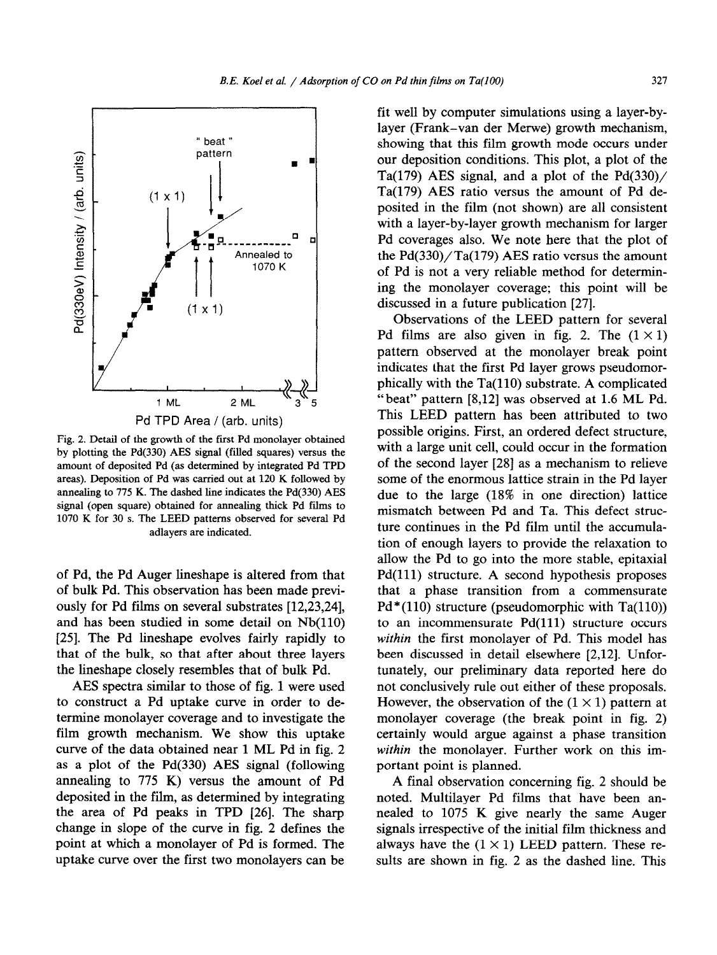

**Fig. 2. Detail of the growth of the first Pd monolayer obtained by plotting the Pd(330) AES signal (filled squares) versus the amount of deposited Pd (as determined by integrated Pd TPD areas). Deposition of Pd was carried out at 120 K followed by annealing to 775 K. The dashed line indicates the Pd(330) AES signal (open square) obtained for annealing thick Pd films to 1070 K for 30 s. The LEED patterns observed for several Pd adlayers are indicated.** 

of Pd, the Pd Auger lineshape is altered from that of bulk Pd. This observation has been made previously for Pd films on several substrates [12,23,24], and has been studied in some detail on  $Nb(110)$ 1251. The Pd lineshape evolves fairly rapidly to that of the bulk, so that after about three layers the lineshape closely resembles that of bulk Pd.

AES spectra similar to those of fig. 1 were used to construct a Pd uptake curve in order to determine monolayer coverage and to investigate the film growth mechanism. We show this uptake curve of the data obtained near 1 ML Pd in fig. 2 as a plot of the Pd(330) AES signal (following annealing to 775 K) versus the amount of Pd deposited in the film, as determined by integrating the area of Pd peaks in TPD [26]. The sharp change in slope of the curve in fig. 2 defines the point at which a monolayer of Pd is formed. The uptake curve over the first two monolayers can be fit well by computer simulations using a layer-bylayer (Frank-van der Merwe) growth mechanism, showing that this film growth mode occurs under our deposition conditions. This plot, a plot of the Ta(179) AES signal, and a plot of the  $Pd(330)$ / Ta(179) AES ratio versus the amount of Pd deposited in the film (not shown) are all consistent with a layer-by-layer growth mechanism for larger Pd coverages also. We note here that the plot of the  $Pd(330)/Ta(179)$  AES ratio versus the amount of Pd is not a very reliable method for determining the monolayer coverage; this point will be discussed in a future publication [27].

Observations of the LEED pattern for several Pd films are also given in fig. 2. The  $(1 \times 1)$ pattern observed at the monolayer break point indicates that the first Pd layer grows pseudomorphically with the  $Ta(110)$  substrate. A complicated "beat" pattern [8,12] was observed at 1.6 ML Pd. This LEED pattern has been attributed to two possible origins. First, an ordered defect structure, with a large unit cell, could occur in the formation of the second layer [28] as a mechanism to relieve some of the enormous lattice strain in the Pd layer due to the large (18% in one direction) lattice mismatch between Pd and Ta. This defect structure continues in the Pd film until the accumulation of enough layers to provide the relaxation to allow the Pd to go into the more stable, epitaxial Pd(111) structure. A second hypothesis proposes that a phase transition from a commensurate  $Pd*(110)$  structure (pseudomorphic with  $Ta(110)$ ) to an incommensurate  $Pd(111)$  structure occurs within the first monolayer of Pd. This model has been discussed in detail elsewhere [2,12]. Unfortunately, our preliminary data reported here do not conclusively rule out either of these proposals. However, the observation of the  $(1 \times 1)$  pattern at monolayer coverage (the break point in fig. 2) certainly would argue against a phase transition within the monolayer. Further work on this important point is planned.

A final observation concerning fig. 2 should be noted. Multilayer Pd films that have been annealed to 1075 K give nearly the same Auger signals irrespective of the initial film thickness and always have the  $(1 \times 1)$  LEED pattern. These results are shown in fig. 2 as the dashed line. This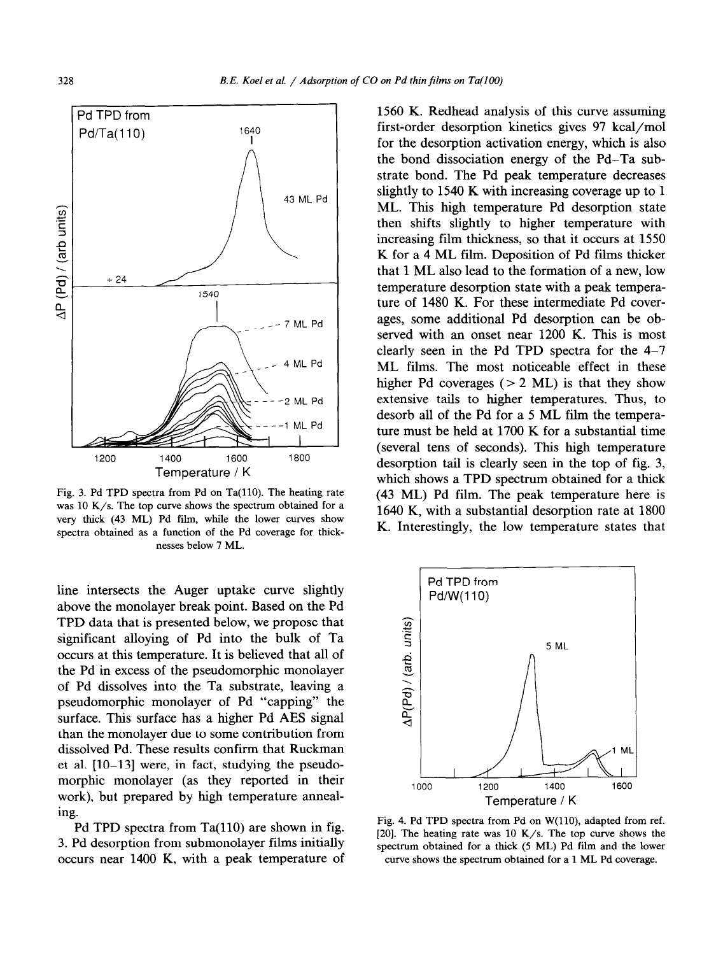

**Fig. 3. Pd TPD spectra from Pd on Ta(ll0). The heating rate was 10 K/s. The top curve shows the spectrum obtained for a very thick (43 ML) Pd film, while the lower curves show spectra obtained as a function of the Pd coverage for thicknesses below 7 ML.** 

line intersects the Auger uptake curve slightly above the monolayer break point. Based on the Pd TPD data that is presented below, we propose that significant alloying of Pd into the bulk of Ta occurs at this temperature. It is believed that all of the Pd in excess of the pseudomorphic monolayer of Pd dissolves into the Ta substrate, leaving a pseudomorphic monolayer of Pd "capping" the surface. This surface has a higher Pd AES signal than the monolayer due to some contribution from dissolved Pd. These results confirm that Ruckman et al. [lo-131 were, in fact, studying the pseudomorphic monolayer (as they reported in their work), but prepared by high temperature annealing.

Pd TPD spectra from Ta(110) are shown in fig. 3. Pd desorption from submonolayer films initially occurs near 1400 K, with a peak temperature of 1560 K. Redhead analysis of this curve assuming first-order desorption kinetics gives 97 kcal/mol for the desorption activation energy, which is also the bond dissociation energy of the Pd-Ta substrate bond. The Pd peak temperature decreases slightly to 1540 K with increasing coverage up to 1 ML. This high temperature Pd desorption state then shifts slightly to higher temperature with increasing film thickness, so that it occurs at 1550 K for a 4 ML film. Deposition of Pd films thicker that 1 ML also lead to the formation of a new, low temperature desorption state with a peak temperature of 1480 K. For these intermediate Pd coverages, some additional Pd desorption can be observed with an onset near 1200 K. This is most clearly seen in the Pd TPD spectra for the 4-7 ML films. The most noticeable effect in these higher Pd coverages  $(> 2 \text{ ML})$  is that they show extensive tails to higher temperatures. Thus, to desorb all of the Pd for a 5 ML film the temperature must be held at 1700 K for a substantial time (several tens of seconds). This high temperature desorption tail is clearly seen in the top of fig. 3, which shows a TPD spectrum obtained for a thick (43 ML) Pd film. The peak temperature here is 1640 K, with a substantial desorption rate at 1800 K. Interestingly, the low temperature states that



Fig. 4. Pd TPD spectra from Pd on W(110), adapted from ref. **[20]. The heating rate was 10 K/s. The top curve shows the spectrum obtained for a thick (5 ML) Pd film and the lower curve shows the spectrum obtained for a 1 ML Pd coverage.**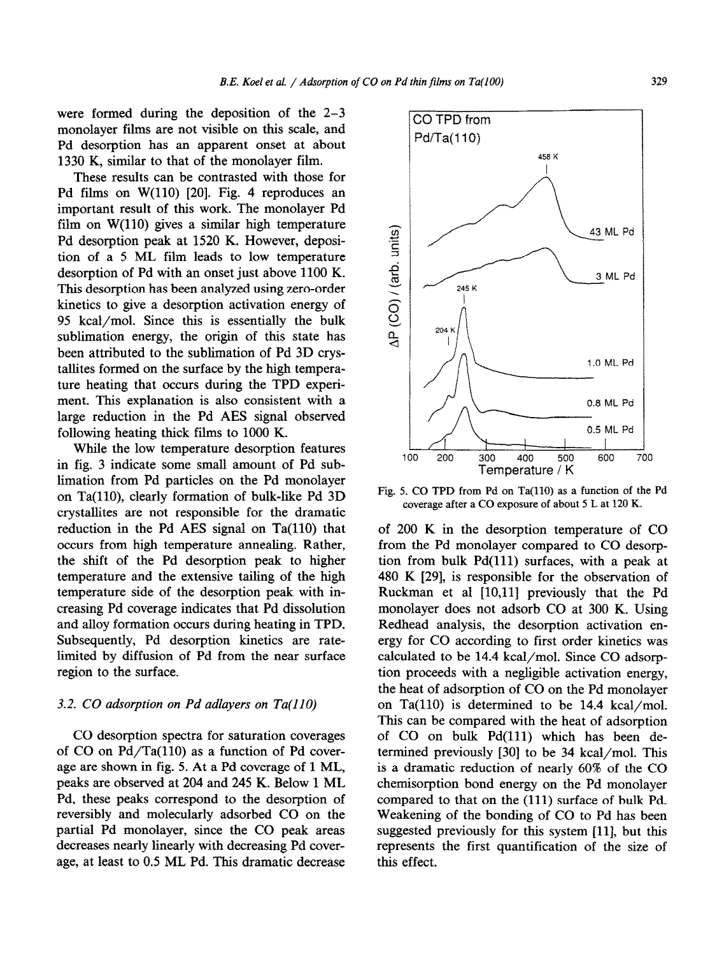were formed during the deposition of the 2-3 monolayer films are not visible on this scale, and Pd desorption has an apparent onset at about 1330 K, similar to that of the monolayer film.

These results can be contrasted with those for Pd films on W(110) [20]. Fig. 4 reproduces an important result of this work. The monolayer Pd film on  $W(110)$  gives a similar high temperature Pd desorption peak at 1520 K. However, deposition of a 5 ML film leads to low temperature desorption of Pd with an onset just above 1100 K. This desorption has been analyzed using zero-order kinetics to give a desorption activation energy of 95 kcal/mol. Since this is essemially the bulk sublimation energy, the origin of this state has been attributed to the sublimation of Pd 3D crystallites formed on the surface by the high temperature heating that occurs during the TPD experiment. This explanation is also consistent with a large reduction in the Pd AES signal observed following heating thick films to 1000 K.

While the low temperature desorption features in fig. 3 indicate some small amount of Pd sublimation from Pd particles on the Pd monolayer on Ta(110), clearly formation of bulk-like Pd  $3D$ crystallites are not responsible for the dramatic reduction in the Pd AES signal on  $Ta(110)$  that occurs from high temperature annealing. Rather, the shift of the Pd desorption peak to higher temperature and the extensive tailing of the high temperature side of the desorption peak with increasing Pd coverage indicates that Pd dissolution and alloy formation occurs during heating in TPD. Subsequently, Pd desorption kinetics are ratelimited by diffusion of Pd from the near surface region to the surface.

## 3.2. CO *adsorption on Pd adlayers on Tafl10)*

*CO* desorption spectra for saturation coverages of CO on  $Pd/Ta(110)$  as a function of Pd coverage are shown in fig. 5. At a Pd coverage of 1 ML, peaks are observed at 204 and 245 K. Below 1 ML Pd, these peaks correspond to the desorption of reversibly and molecularly adsorbed CO on the partial Pd monolayer, since the CO peak areas decreases nearly linearly with decreasing Pd coverage, at least to 0.5 ML Pd. This dramatic decrease Fig. 5. CO TPD from Pd on Ta(110) as a function of the Pd coverage after a CO exposure of about 5 L at 120 K.

of 200 K in the desorption temperature of CO from the Pd monolayer compared to CO desorption from bulk Pd(ll1) surfaces, with a peak at 480 K [29], is responsible for the observation of Ruckman et al [lO,ll] previously that the Pd monolayer does not adsorb CO at 300 K. Using Redhead analysis, the desorption activation energy for CO according to first order kinetics was calculated to be 14.4 kcal/mol. Since CO adsorption proceeds with a negligible activation energy, the heat of adsorption of CO on the Pd monolayer on Ta(ll0) is determined to be 14.4 kcal/mol. This can be compared with the heat of adsorption of CO on bulk Pd(ll1) which has been determined previously [30] to be 34 kcal/mol. This is a dramatic reduction of nearly 60% of the CO chemisorption bond energy on the Pd monolayer compared to that on the (111) surface of bulk Pd. Weakening of the bonding of CO to Pd has been suggested previously for this system [ll], but this represents the first quantification of the size of this effect.

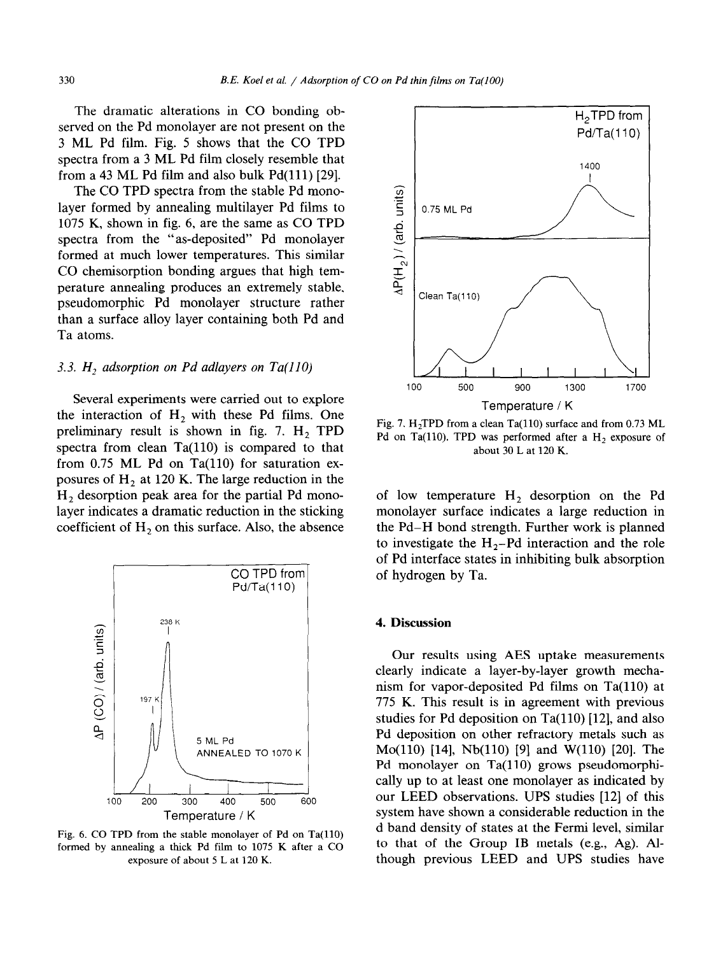The dramatic alterations in CO bonding observed on the Pd monolayer are not present on the 3 ML Pd film. Fig. 5 shows that the CO TPD spectra from a 3 ML Pd film closely resemble that from a 43 ML Pd film and also bulk  $Pd(111)$  [29].

The CO TPD spectra from the stable Pd monolayer formed by annealing multilayer Pd films to 1075 K, shown in fig. 6, are the same as CO TPD spectra from the "as-deposited" Pd monolayer formed at much lower temperatures. This similar CO chemisorption bonding argues that high temperature annealing produces an extremely stable, pseudomorphic Pd monolayer structure rather than a surface alloy layer containing both Pd and Ta atoms.

### 3.3. *Hz adsorption on Pd adlayers on Ta(l10)*

Several experiments were carried out to explore the interaction of  $H<sub>2</sub>$  with these Pd films. One preliminary result is shown in fig. 7.  $H_2$  TPD spectra from clean  $Ta(110)$  is compared to that from  $0.75$  ML Pd on Ta(110) for saturation exposures of  $H<sub>2</sub>$  at 120 K. The large reduction in the H, desorption peak area for the partial Pd monolayer indicates a dramatic reduction in the sticking coefficient of  $H_2$  on this surface. Also, the absence



Fig. 6. CO TPD from the stable monolayer of Pd on Ta(110) formed by annealing a thick Pd film to 1075 K after a CO exposure of about 5 L at 120 K.



Fig. 7. H<sub>2</sub>TPD from a clean Ta(110) surface and from 0.73 ML Pd on Ta(110). TPD was performed after a H<sub>2</sub> exposure of about 30 L at 120 K.

of low temperature  $H_2$  desorption on the Pd monolayer surface indicates a large reduction in the Pd-H bond strength. Further work is planned to investigate the  $H_2$ -Pd interaction and the role of Pd interface states in inhibiting bulk absorption of hydrogen by Ta.

## 4. **Discussion**

Our results using AES uptake measurements clearly indicate a layer-by-layer growth mechanism for vapor-deposited Pd films on Ta(110) at 775 K. This result is in agreement with previous studies for Pd deposition on  $Ta(110)$  [12], and also Pd deposition on other refractory metals such as Mo(ll0) [14], Nb(ll0) [9] and W(110) [20]. The Pd monolayer on Ta(110) grows pseudomorphically up to at least one monolayer as indicated by our LEED observations. UPS studies [12] of this system have shown a considerable reduction in the d band density of states at the Fermi level, similar to that of the Group IB metals (e.g., Ag). Although previous LEED and UPS studies have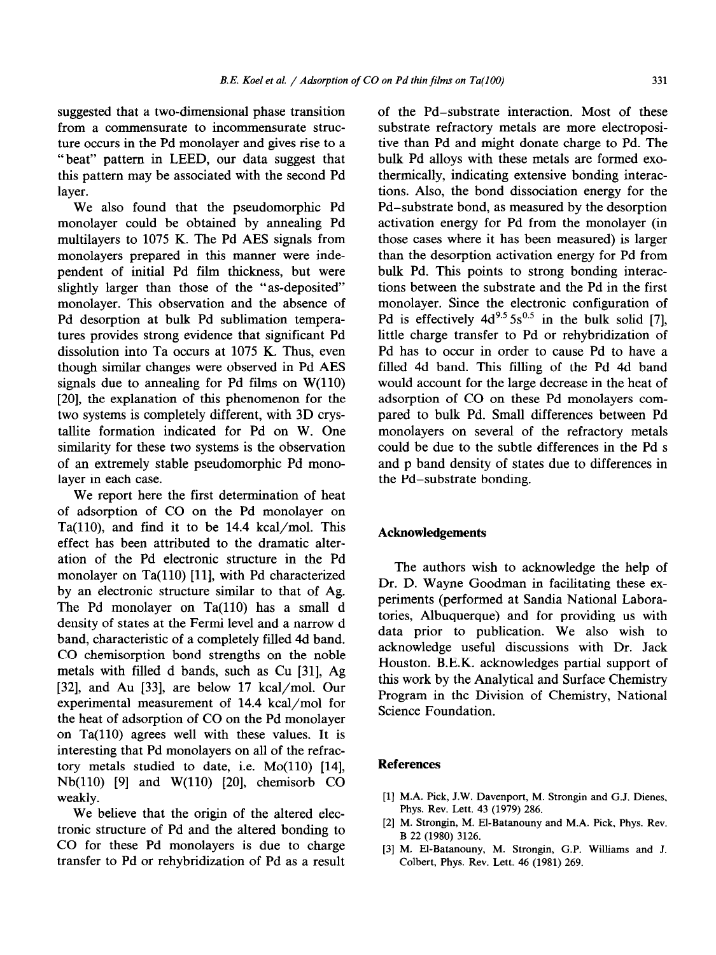suggested that a two-dimensional phase transition from a commensurate to incommensurate structure occurs in the Pd monolayer and gives rise to a "beat" pattern in LEED, our data suggest that this pattern may be associated with the second Pd layer.

We also found that the pseudomorphic Pd monolayer could be obtained by annealing Pd multilayers to 1075 K. The Pd AES signals from monolayers prepared in this manner were independent of initial Pd film thickness, but were slightly larger than those of the "as-deposited" monolayer. This observation and the absence of Pd desorption at bulk Pd sublimation temperatures provides strong evidence that significant Pd dissolution into Ta occurs at 1075 K. Thus, even though similar changes were observed in Pd AES signals due to annealing for Pd films on  $W(110)$ [20], the explanation of this phenomenon for the two systems is completely different, with 3D crystallite formation indicated for Pd on W. One similarity for these two systems is the observation of an extremely stable pseudomorphic Pd monolayer in each case.

We report here the first determination of heat of adsorption of CO on the Pd monolayer on Ta(110), and find it to be  $14.4$  kcal/mol. This effect has been attributed to the dramatic alteration of the Pd electronic structure in the Pd monolayer on Ta(110) [11], with Pd characterized by an electronic structure similar to that of Ag. The Pd monolayer on  $Ta(110)$  has a small d density of states at the Fermi level and a narrow d band, characteristic of a completely filled 4d band. CO chemisorption bond strengths on the noble metals with filled d bands, such as Cu [31], Ag [32], and Au [33], are below 17 kcal/mol. Our experimental measurement of 14.4 kcal/mol for the heat of adsorption of CO on the Pd monolayer on Ta $(110)$  agrees well with these values. It is interesting that Pd monolayers on all of the refractory metals studied to date, i.e.  $Mo(110)$  [14], Nb(ll0) [9] and W(110) [20], chemisorb CO weakly.

We believe that the origin of the altered electronic structure of Pd and the altered bonding to CO for these Pd monolayers is due to charge transfer to Pd or rehybridization of Pd as a result of the Pd-substrate interaction. Most of these substrate refractory metals are more electropositive than Pd and might donate charge to Pd. The bulk Pd alloys with these metals are formed exothermically, indicating extensive bonding interactions. Also, the bond dissociation energy for the Pd-substrate bond, as measured by the desorption activation energy for Pd from the monolayer (in those cases where it has been measured) is larger than the desorption activation energy for Pd from bulk Pd. This points to strong bonding interactions between the substrate and the Pd in the first monolayer. Since the electronic configuration of Pd is effectively  $4d^{9.5}$  5s<sup>0.5</sup> in the bulk solid [7], little charge transfer to Pd or rehybridization of Pd has to occur in order to cause Pd to have a filled 4d band. This filling of the Pd 4d band would account for the large decrease in the heat of adsorption of CO on these Pd monolayers compared to bulk Pd. Small differences between Pd monolayers on several of the refractory metals could be due to the subtle differences in the Pd s and p band density of states due to differences in the Pd-substrate bonding.

# Acknowledgements

The authors wish to acknowledge the help of Dr. D. Wayne Goodman in facilitating these experiments (performed at Sandia National Laboratories, Albuquerque) and for providing us with data prior to publication. We also wish to acknowledge useful discussions with Dr. Jack Houston. B.E.K. acknowledges partial support of this work by the Analytical and Surface Chemistry Program in the Division of Chemistry, National Science Foundation.

#### References

- **[l] M.A. Pick, J.W. Davenport, M. Strongin and G.J. Dienes, Phys. Rev. Lett. 43 (1979) 286.**
- **[2] M. Strongin, M. El-Batanouny and M.A. Pick, Phys. Rev. B 22 (1980) 3126.**
- **[3] M. El-Batanouny, M. Strongin, G.P. Williams and J. Colbert, Phys. Rev. Lett. 46 (1981) 269.**